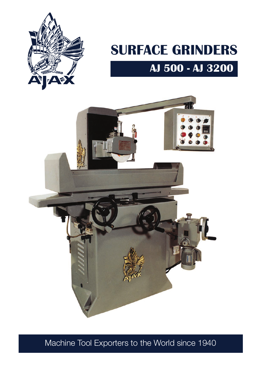

# **AJ 500 - AJ 3200 SURFACE GRINDERS**



Machine Tool Exporters to the World since 1940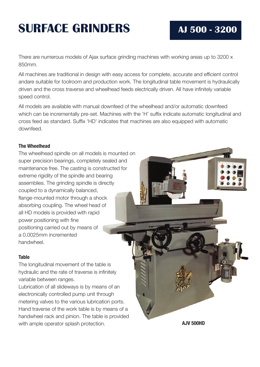# **SURFACE GRINDERS AJ 500 - 3200**

There are numerous models of Ajax surface grinding machines with working areas up to 3200 x 850mm.

All machines are traditional in design with easy access for complete, accurate and efficient control andare suitable for toolroom and production work. The longitudinal table movement is hydraulically driven and the cross traverse and wheelhead feeds electrically driven. All have infinitely variable speed control.

All models are available with manual downfeed of the wheelhead and/or automatic downfeed which can be incrementally pre-set. Machines with the 'H' suffix indicate automatic longitudinal and cross feed as standard. Suffix 'HD' indicates that machines are also equipped with automatic downfeed.

### **The Wheelhead**

The wheelhead spindle on all models is mounted on super precision bearings, completely sealed and maintenance free. The casting is constructed for extreme rigidity of the spindle and bearing assemblies. The grinding spindle is directly coupled to a dynamically balanced, flange-mounted motor through a shock absorbing coupling. The wheel head of all HD models is provided with rapid power positioning with fine positioning carried out by means of a 0.0025mm incremented handwheel.

#### **Table**

The longitudinal movement of the table is hydraulic and the rate of traverse is infinitely variable between ranges.

Lubrication of all slideways is by means of an electronically controlled pump unit through metering valves to the various lubrication ports. Hand traverse of the work table is by means of a handwheel rack and pinion. The table is provided with ample operator splash protection.

**AJV 500HD**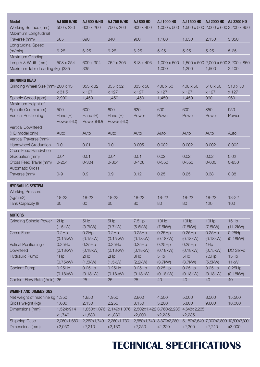| <b>Model</b><br><b>Working Surface (mm)</b>                                          | <b>AJ 500 H/HD</b><br>500 x 230 | <b>AJ 600 H/HD</b><br>600 x 260 | <b>AJ 750 H/HD</b><br>750 x 260 | <b>AJ 800 HD</b><br>800 x 400 | <b>AJ 1000 HD</b><br>$1,000 \times 500$ | <b>AJ 1500 HD</b>        | AJ 2000 HD AJ 3200 HD<br>1,500 x 500 2,000 x 600 3,200 x 850 |                          |
|--------------------------------------------------------------------------------------|---------------------------------|---------------------------------|---------------------------------|-------------------------------|-----------------------------------------|--------------------------|--------------------------------------------------------------|--------------------------|
| Maximum Longitudinal<br>Traverse (mm)                                                | 565                             | 690                             | 840                             | 960                           | 1,160                                   | 1,650                    | 2,150                                                        | 3,350                    |
| <b>Longitudinal Speed</b><br>(m/min)                                                 | $6 - 25$                        | $6 - 25$                        | $6 - 25$                        | $6 - 25$                      | $5 - 25$                                | $5 - 25$                 | $5 - 25$                                                     | $5 - 25$                 |
| Maximum Grinding<br>Length & Width (mm)                                              | 508 x 254                       | 609 x 304                       | 762 x 305                       | 813 x 406                     | $1,000 \times 500$                      |                          | 1,500 x 500 2,000 x 600 3,200 x 850                          |                          |
| Maximum Table Loading (kg )335                                                       |                                 | 335                             |                                 |                               | 1,000                                   | 1,200                    | 1,500                                                        | 2,400                    |
| <b>GRINDING HEAD</b>                                                                 |                                 |                                 |                                 |                               |                                         |                          |                                                              |                          |
| Grinding Wheel Size (mm) 200 x 13                                                    | x 31.5                          | $355 \times 32$<br>x 127        | 355 x 32<br>x 127               | $335 \times 50$<br>x 127      | $406 \times 50$<br>x 127                | $406 \times 50$<br>x 127 | $510 \times 50$<br>x 127                                     | $510 \times 50$<br>x 127 |
| Spindle Speed (rpm)<br>Maximum Height of                                             | 2,900                           | 1,450                           | 1,450                           | 1,450                         | 1,450                                   | 1,450                    | 960                                                          | 960                      |
| Spindle Centre (mm)<br><b>Vertical Positioning</b>                                   | 500<br>Hand (H)<br>Power (HD)   | 600<br>Hand (H)<br>Power (HD)   | 600<br>Hand (H)<br>Power (HD)   | 620<br>Power                  | 600<br>Power                            | 600<br>Power             | 850<br>Power                                                 | 950<br>Power             |
| <b>Vertical Downfeed</b><br>(HD model only)                                          | Auto                            | Auto                            | Auto                            | Auto                          | Auto                                    | Auto                     | Auto                                                         | Auto                     |
| Vertical Traverse (mm)<br><b>Handwheel Graduation</b><br><b>Cross Feed Handwheel</b> | 0.01                            | 0.01                            | 0.01                            | 0.005                         | 0.002                                   | 0.002                    | 0.002                                                        | 0.002                    |
| Graduation (mm)                                                                      | 0.01                            | 0.01                            | 0.01                            | 0.01                          | 0.02                                    | 0.02                     | 0.02                                                         | 0.02                     |
| Cross Feed Travel (mm)<br><b>Automatic Cross</b><br>Traverse (mm)                    | $0 - 254$<br>$0 - 9$            | $0 - 304$<br>0.9                | $0 - 304$<br>0.9                | $0 - 406$<br>0.12             | $0 - 550$<br>0.25                       | $0 - 550$<br>0.25        | $0 - 600$<br>0.38                                            | $0 - 850$<br>0.38        |
| <b>HYDRAULIC SYSTEM</b>                                                              |                                 |                                 |                                 |                               |                                         |                          |                                                              |                          |
| <b>Working Pressure</b>                                                              |                                 |                                 |                                 |                               |                                         |                          |                                                              |                          |
| (kg/cm2)                                                                             | 18-22                           | $18 - 22$                       | $18 - 22$                       | $18 - 22$                     | $18 - 22$                               | $18 - 22$                | $18 - 22$                                                    | $18 - 22$                |
| Tank Capacity (I)                                                                    | 60                              | 60                              | 60                              | 80                            | 80                                      | 80                       | 120                                                          | 160                      |
| <b>MOTORS</b>                                                                        |                                 |                                 |                                 |                               |                                         |                          |                                                              |                          |
| <b>Grinding Spindle Power</b>                                                        | 2Hp<br>(1.5kW)                  | 5Hp<br>(3.7kW)                  | 5Hp<br>(3.7kW)                  | 7.5Hp<br>(5.6kW)              | 10Hp<br>(7.5kW)                         | 10Hp<br>(7.5kW)          | 10Hp<br>(7.5kW)                                              | 15Hp<br>(11.2kW)         |
| <b>Cross Feed</b>                                                                    | $0.2$ Hp<br>(0.15kW)            | $0.2$ Hp<br>(0.15kW)            | $0.2$ Hp<br>(0.15kW)            | $0.25$ Hp<br>(0.18kW)         | $0.25$ Hp<br>(0.18kW)                   | $0.25$ Hp<br>(0.18kW)    | $0.25$ Hp<br>(0.18kW)                                        | $0.25$ Hp<br>(0.18kW)    |
| Vetical Positioning /<br>Downfeed                                                    | $0.25$ Hp<br>(0.18kW)           | $0.25$ Hp<br>(0.18kW)           | $0.25$ Hp<br>(0.18kW)           | $0.25$ Hp<br>(0.18kW)         | $0.25$ Hp<br>(0.18kW)                   | $0.25$ Hp<br>(0.18kW)    | 1Hp<br>(0.75kW)                                              | DC Servo                 |
| <b>Hydraulic Pump</b>                                                                | 1Hp<br>(0.75kW)                 | 2Hp<br>(1.5kW)                  | 2Hp<br>(1.5kW)                  | 3Hp<br>(2.2kW)                | 5Hp<br>(3.7kW)                          | 5Hp<br>(3.7kW)           | 7.5Hp<br>(5.5kW)                                             | 15Hp<br>11kW             |
| <b>Coolant Pump</b>                                                                  | $0.25$ Hp<br>(0.18kW)           | $0.25$ Hp<br>(0.18kW)           | $0.25$ Hp<br>(0.18kW)           | $0.25$ Hp<br>(0.18kW)         | $0.25$ Hp<br>(0.18kW)                   | $0.25$ Hp<br>(0.18kW)    | $0.25$ Hp<br>(0.18kW)                                        | $0.25$ Hp<br>(0.18kW)    |
| Coolant Flow Rate (I/min) 25                                                         |                                 | 25                              | 25                              | 25                            | 40                                      | 40                       | 40                                                           | 40                       |
| <b>WEIGHT AND DIMENSIONS</b>                                                         |                                 |                                 |                                 |                               |                                         |                          |                                                              |                          |
| Net weight of machine kg 1,350                                                       |                                 | 1,850                           | 1,950                           | 2,800                         | 4,500                                   | 5,000                    | 8,500                                                        | 15,500                   |
| Gross weight (kg)                                                                    | 1,600                           | 2,150                           | 2,250                           | 3,150                         | 5,200                                   | 5,800                    | 9,600                                                        | 18,000                   |
| Dimensions (mm)                                                                      | 1,524x914<br>x1,740             | 1,850x1,076<br>x1,880           | 2,149x1,076<br>x1,880           | x2,000                        | 2,502x1,422 3,760x2,235<br>x2,235       | 4,648x 2,235<br>x2,235   |                                                              |                          |
| <b>Shipping Case</b><br>Dimensions (mm)                                              | 2,060x1,680<br>x2,050           | 2,260x1,740<br>x2,210           | 2,260x1,730<br>x2,160           | 2,680x1,740<br>x2,250         | 3,370x2,280<br>x2,220                   | x2,300                   | 5,180x2,640 7,000x2,800 10,500x3,300<br>x2,740               | x3,000                   |

## **TECHNICAL SPECIFICATIONS**